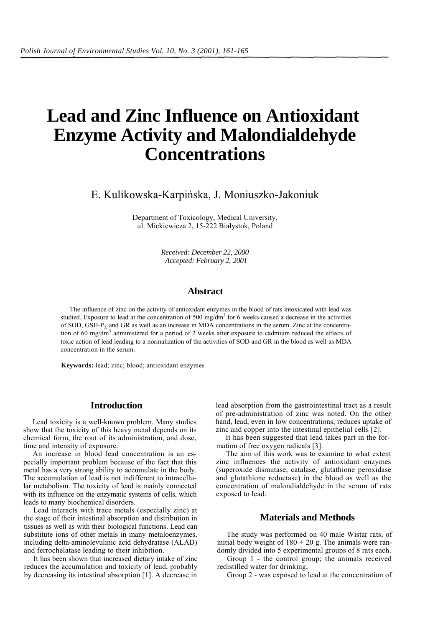# **Lead and Zinc Influence on Antioxidant Enzyme Activity and Malondialdehyde Concentrations**

E. Kulikowska-Karpińska, J. Moniuszko-Jakoniuk

Department of Toxicology, Medical University, ul. Mickiewicza 2, 15-222 Białystok, Poland

> *Received: December 22, 2000 Accepted: February 2, 2001*

# **Abstract**

The influence of zinc on the activity of antioxidant enzymes in the blood of rats intoxicated with lead was studied. Exposure to lead at the concentration of 500 mg/dm<sup>3</sup> for 6 weeks caused a decrease in the activities of SOD, GSH-P<sub>X</sub> and GR as well as an increase in MDA concentrations in the serum. Zinc at the concentration of 60 mg/dm<sup>3</sup> administered for a period of 2 weeks after exposure to cadmium reduced the effects of toxic action of lead leading to a normalization of the activities of SOD and GR in the blood as well as MDA concentration in the serum.

**Keywords:** lead; zinc; blood; antioxidant enzymes

## **Introduction**

Lead toxicity is a well-known problem. Many studies show that the toxicity of this heavy metal depends on its chemical form, the rout of its administration, and dose, time and intensity of exposure.

An increase in blood lead concentration is an especially important problem because of the fact that this metal has a very strong ability to accumulate in the body. The accumulation of lead is not indifferent to intracellular metabolism. The toxicity of lead is mainly connected with its influence on the enzymatic systems of cells, which leads to many biochemical disorders.

Lead interacts with trace metals (especially zinc) at the stage of their intestinal absorption and distribution in tissues as well as with their biological functions. Lead can substitute ions of other metals in many metaloenzymes, including delta-aminolevulinic acid dehydratase (ALAD) and ferrochelatase leading to their inhibition.

It has been shown that increased dietary intake of zinc reduces the accumulation and toxicity of lead, probably by decreasing its intestinal absorption [1]. A decrease in lead absorption from the gastrointestinal tract as a result of pre-administration of zinc was noted. On the other hand, lead, even in low concentrations, reduces uptake of zinc and copper into the intestinal epithelial cells [2].

It has been suggested that lead takes part in the formation of free oxygen radicals [3].

The aim of this work was to examine to what extent zinc influences the activity of antioxidant enzymes (superoxide dismutase, catalase, glutathione peroxidase and glutathione reductase) in the blood as well as the concentration of malondialdehyde in the serum of rats exposed to lead.

## **Materials and Methods**

The study was performed on 40 male Wistar rats, of initial body weight of  $180 \pm 20$  g. The animals were randomly divided into 5 experimental groups of 8 rats each.

Group 1 - the control group; the animals received redistilled water for drinking,

Group 2 - was exposed to lead at the concentration of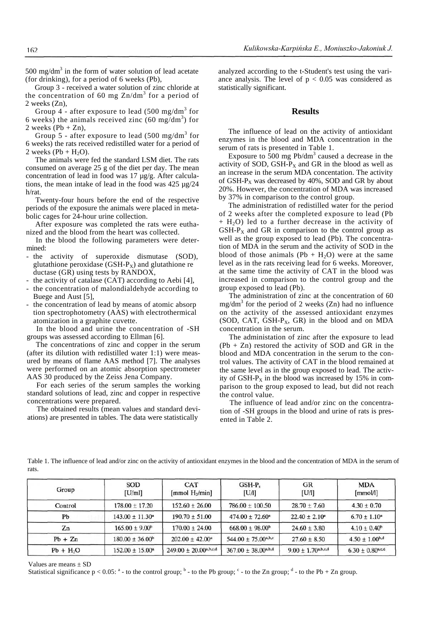500 mg/dm<sup>3</sup> in the form of water solution of lead acetate (for drinking), for a period of 6 weeks (Pb),

Group 3 - received a water solution of zinc chloride at the concentration of 60 mg  $\text{Zn/dm}^3$  for a period of 2 weeks (Zn),

Group  $4^{\degree}$  after exposure to lead (500 mg/dm<sup>3</sup> for 6 weeks) the animals received zinc  $(60 \text{ mg/dm}^3)$  for 2 weeks  $(Pb + Zn)$ ,

Group 5 - after exposure to lead (500 mg/dm<sup>3</sup> for 6 weeks) the rats received redistilled water for a period of 2 weeks  $(Pb + H<sub>2</sub>O)$ .

The animals were fed the standard LSM diet. The rats consumed on average 25 g of the diet per day. The mean concentration of lead in food was 17 µg/g. After calculations, the mean intake of lead in the food was 425 µg/24 h/rat.

Twenty-four hours before the end of the respective periods of the exposure the animals were placed in metabolic cages for 24-hour urine collection.

After exposure was completed the rats were euthanized and the blood from the heart was collected.

In the blood the following parameters were determined:

- the activity of superoxide dismutase (SOD), glutathione peroxidase  $(GSH-P_X)$  and glutathione re ductase (GR) using tests by RANDOX,

- the activity of catalase (CAT) according to Aebi [4],

- the concentration of malondialdehyde according to Buege and Aust [5],
- the concentration of lead by means of atomic absorp tion spectrophotometry (AAS) with electrothermical atomization in a graphite cuvette.

In the blood and urine the concentration of -SH groups was assessed according to Ellman [6].

The concentrations of zinc and copper in the serum (after its dilution with redistilled water 1:1) were measured by means of flame AAS method [7]. The analyses were performed on an atomic absorption spectrometer AAS 30 produced by the Zeiss Jena Company.

For each series of the serum samples the working standard solutions of lead, zinc and copper in respective concentrations were prepared.

The obtained results (mean values and standard deviations) are presented in tables. The data were statistically

analyzed according to the t-Student's test using the variance analysis. The level of  $p < 0.05$  was considered as statistically significant.

#### **Results**

The influence of lead on the activity of antioxidant enzymes in the blood and MDA concentration in the serum of rats is presented in Table 1.

Exposure to  $\overline{500}$  mg Pb/dm<sup>3</sup> caused a decrease in the activity of SOD, GSH- $P_X$  and GR in the blood as well as an increase in the serum MDA concentation. The activity of GSH- $P_X$  was decreased by 40%, SOD and GR by about 20%. However, the concentration of MDA was increased by 37% in comparison to the control group.

The administration of redistilled water for the period of 2 weeks after the completed exposure to lead (Pb  $+$  H<sub>2</sub>O) led to a further decrease in the activity of  $GSH-P_X$  and  $GR$  in comparison to the control group as well as the group exposed to lead (Pb). The concentration of MDA in the serum and the activity of SOD in the blood of those animals  $(Pb + H<sub>2</sub>O)$  were at the same level as in the rats receiving lead for 6 weeks. Moreover, at the same time the activity of CAT in the blood was increased in comparison to the control group and the group exposed to lead (Pb).

The administration of zinc at the concentration of 60  $mg/dm<sup>3</sup>$  for the period of 2 weeks (Zn) had no influence on the activity of the assessed antioxidant enzymes (SOD, CAT, GSH- $P_X$ , GR) in the blood and on MDA concentration in the serum.

The administation of zinc after the exposure to lead  $(Pb + Zn)$  restored the activity of SOD and GR in the blood and MDA concentration in the serum to the control values. The activity of CAT in the blood remained at the same level as in the group exposed to lead. The activity of GSH- $P<sub>x</sub>$  in the blood was increased by 15% in comparison to the group exposed to lead, but did not reach the control value.

The influence of lead and/or zinc on the concentration of -SH groups in the blood and urine of rats is presented in Table 2.

Table 1. The influence of lead and/or zinc on the activity of antioxidant enzymes in the blood and the concentration of MDA in the serum of rats.

| Group      | SOD<br>[U/ml]              | <b>CAT</b><br>[mmol $H_2$ /min] | $GSH-Pr$<br>[U/l]                   | GR<br>[U/l]              | <b>MDA</b><br>[mmol/l] |
|------------|----------------------------|---------------------------------|-------------------------------------|--------------------------|------------------------|
| Control    | $178.00 \pm 17.20$         | $152.60 \pm 26.00$              | $786.00 \pm 100.50$                 | $28.70 \pm 7.60$         | $4.30 \pm 0.70$        |
| Pb         | $143.00 \pm 11.30^a$       | $190.70 \pm 51.00$              | $474.00 \pm 72.60^{\circ}$          | $22.40 \pm 2.10^{\circ}$ | $6.70 \pm 1.10^a$      |
| Zn         | $165.00 \pm 9.00^{\circ}$  | $170.00 \pm 24.00$              | $668.00 \pm 98.00^{\circ}$          | $24.60 \pm 3.80$         | $4.10 \pm 0.40^b$      |
| $Pb + Zn$  | $180.00 \pm 36.00^{\circ}$ | $202.00 + 42.00^a$              | $544.00 + 75.00^{a,b,c}$            | $27.60 \pm 8.50$         | $4.50 \pm 1.00^{b,d}$  |
| $Pb + H2O$ | $152.00 \pm 15.00^a$       | $249.00 \pm 20.00^{a,b,c,d}$    | $367.00 \pm 38.00$ <sup>a,b,d</sup> | $9.00 \pm 1.70$ a,b,c,d  | $6.30 \pm 0.80$ a.c.d  |

Values are means ± SD

Statistical significance  $p < 0.05$ :  $a -$  to the control group;  $b -$  to the Pb group;  $c -$  to the Zn group;  $d -$  to the Pb + Zn group.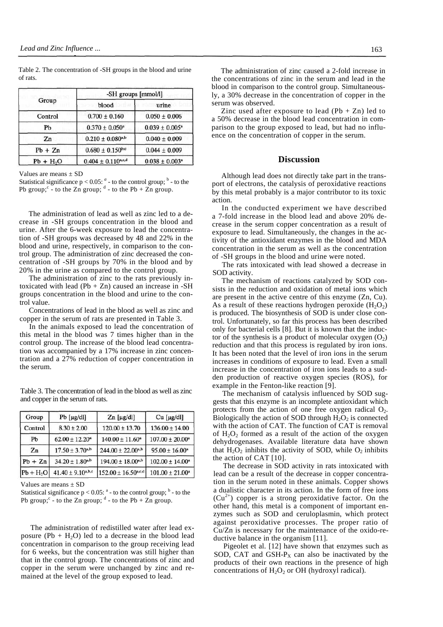Table 2. The concentration of -SH groups in the blood and urine of rats.

|            | -SH groups [mmol/l]              |                                |  |  |
|------------|----------------------------------|--------------------------------|--|--|
| Group      | blood                            | urine                          |  |  |
| Control    | $0.700 \pm 0.160$                | $0.050 \pm 0.006$              |  |  |
| Ph         | $0.370 \pm 0.050^a$              | $0.039 \pm 0.005^a$            |  |  |
| Zn         | $0.210 \pm 0.080^{a,b}$          | $0.040 \pm 0.009$              |  |  |
| $Pb + Zn$  | $0.680 \pm 0.150^{b,c}$          | $0.044 \pm 0.009$              |  |  |
| $Pb + H2O$ | $0.404 \pm 0.110^{\text{a,c,d}}$ | $0.038 \pm 0.003$ <sup>a</sup> |  |  |

Values are means  $\pm$  SD

Statistical significance  $p < 0.05$ :  $a$  - to the control group;  $b$  - to the Pb group;  $\degree$  - to the Zn group;  $\degree$  - to the Pb + Zn group.

The administration of lead as well as zinc led to a decrease in -SH groups concentration in the blood and urine. After the 6-week exposure to lead the concentration of -SH groups was decreased by 48 and 22% in the blood and urine, respectively, in comparison to the control group. The administration of zinc decreased the concentration of -SH groups by 70% in the blood and by 20% in the urine as compared to the control group.

The administration of zinc to the rats previously intoxicated with lead  $(Pb + Zn)$  caused an increase in -SH groups concentration in the blood and urine to the control value.

Concentrations of lead in the blood as well as zinc and copper in the serum of rats are presented in Table 3.

In the animals exposed to lead the concentration of this metal in the blood was 7 times higher than in the control group. The increase of the blood lead concentration was accompanied by a 17% increase in zinc concentration and a 27% reduction of copper concentration in the serum.

Table 3. The concentration of lead in the blood as well as zinc and copper in the serum of rats.

| Group      | $Pb$ [ $\mu$ g/dl]       | $Zn$ [µg/dl]                      | Cu [µg/dl]                      |
|------------|--------------------------|-----------------------------------|---------------------------------|
| Control    | $8.30 \pm 2.00$          | $120.00 \pm 13.70$                | $136.00 \pm 14.00$              |
| Pb         | $62.00 \pm 12.20^*$      | $140.00 \pm 11.60^a$              | $107.00 \pm 20.00$ <sup>a</sup> |
| Zn         | $17.50 \pm 3.70^{a,b}$   | $244.00 \pm 22.00^{a,b}$          | $95.00 \pm 16.00^a$             |
| $Pb + Zn$  | $34.20 \pm 1.80^{a,b}$   | $194.00 \pm 18.00^{a,b}$          | $102.00 \pm 14.00^a$            |
| $Pb + H2O$ | $41.40 \pm 9.10^{a,b,c}$ | $152.00 \pm 16.50^{\text{a,c,d}}$ | $101.00 \pm 21.00^a$            |

Values are means  $\pm$  SD

Statistical significance  $p < 0.05$ :  $a$  - to the control group;  $b$  - to the Pb group;  $\circ$  - to the Zn group;  $\circ$  - to the Pb + Zn group.

The administration of redistilled water after lead exposure (Pb +  $H_2O$ ) led to a decrease in the blood lead concentration in comparison to the group receiving lead for 6 weeks, but the concentration was still higher than that in the control group. The concentrations of zinc and copper in the serum were unchanged by zinc and remained at the level of the group exposed to lead.

The administration of zinc caused a 2-fold increase in the concentrations of zinc in the serum and lead in the blood in comparison to the control group. Simultaneously, a 30% decrease in the concentration of copper in the serum was observed.

Zinc used after exposure to lead  $(Pb + Zn)$  led to a 50% decrease in the blood lead concentration in comparison to the group exposed to lead, but had no influence on the concentration of copper in the serum.

### **Discussion**

Although lead does not directly take part in the transport of electrons, the catalysis of peroxidative reactions by this metal probably is a major contributor to its toxic action.

In the conducted experiment we have described a 7-fold increase in the blood lead and above 20% decrease in the serum copper concentration as a result of exposure to lead. Simultaneously, the changes in the activity of the antioxidant enzymes in the blood and MDA concentration in the serum as well as the concentration of -SH groups in the blood and urine were noted.

The rats intoxicated with lead showed a decrease in SOD activity.

The mechanism of reactions catalyzed by SOD consists in the reduction and oxidation of metal ions which are present in the active centre of this enzyme (Zn, Cu). As a result of these reactions hydrogen peroxide  $(H_2O_2)$ is produced. The biosynthesis of SOD is under close control. Unfortunately, so far this process has been described only for bacterial cells [8]. But it is known that the inductor of the synthesis is a product of molecular oxygen  $(O_2)$ reduction and that this process is regulated by iron ions. It has been noted that the level of iron ions in the serum increases in conditions of exposure to lead. Even a small increase in the concentration of iron ions leads to a sudden production of reactive oxygen species (ROS), for example in the Fenton-like reaction [9].

The mechanism of catalysis influenced by SOD suggests that this enzyme is an incomplete antioxidant which protects from the action of one free oxygen radical  $O_2$ . Biologically the action of SOD through  $H_2O_2$  is connected with the action of CAT. The function of CAT is removal of  $H_2O_2$  formed as a result of the action of the oxygen dehydrogenases. Available literature data have shown that  $H_2O_2$  inhibits the activity of SOD, while  $O_2$  inhibits the action of CAT [10].

The decrease in SOD activity in rats intoxicated with lead can be a result of the decrease in copper concentration in the serum noted in these animals. Copper shows a dualistic character in its action. In the form of free ions  $(Cu^{2+})$  copper is a strong peroxidative factor. On the other hand, this metal is a component of important enzymes such as SOD and ceruloplasmin, which protect against peroxidative processes. The proper ratio of Cu/Zn is necessary for the maintenance of the oxido-reductive balance in the organism [11].

Pigeolet et al. [12] have shown that enzymes such as SOD, CAT and GSH- $P_X$  can also be inactivated by the products of their own reactions in the presence of high concentrations of  $H_2O_2$  or OH (hydroxyl radical).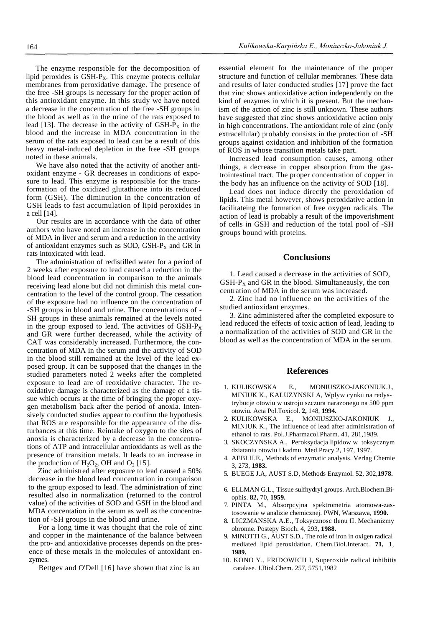The enzyme responsible for the decomposition of lipid peroxides is  $GSH-P_X$ . This enzyme protects cellular membranes from peroxidative damage. The presence of the free -SH groups is necessary for the proper action of this antioxidant enzyme. In this study we have noted a decrease in the concentration of the free -SH groups in the blood as well as in the urine of the rats exposed to lead [13]. The decrease in the activity of  $GSH-P<sub>X</sub>$  in the blood and the increase in MDA concentration in the serum of the rats exposed to lead can be a result of this heavy metal-induced depletion in the free -SH groups noted in these animals.

We have also noted that the activity of another antioxidant enzyme - GR decreases in conditions of exposure to lead. This enzyme is responsible for the transformation of the oxidized glutathione into its reduced form (GSH). The diminution in the concentration of GSH leads to fast accumulation of lipid peroxides in a cell [14].

Our results are in accordance with the data of other authors who have noted an increase in the concentration of MDA in liver and serum and a reduction in the activity of antioxidant enzymes such as SOD, GSH- $P_X$  and GR in rats intoxicated with lead.

The administration of redistilled water for a period of 2 weeks after exposure to lead caused a reduction in the blood lead concentration in comparison to the animals receiving lead alone but did not diminish this metal concentration to the level of the control group. The cessation of the exposure had no influence on the concentration of -SH groups in blood and urine. The concentrations of - SH groups in these animals remained at the levels noted in the group exposed to lead. The activities of  $GSH-P_X$ and GR were further decreased, while the activity of CAT was considerably increased. Furthermore, the concentration of MDA in the serum and the activity of SOD in the blood still remained at the level of the lead exposed group. It can be supposed that the changes in the studied parameters noted 2 weeks after the completed exposure to lead are of reoxidative character. The reoxidative damage is characterized as the damage of a tissue which occurs at the time of bringing the proper oxygen metabolism back after the period of anoxia. Intensively conducted studies appear to confirm the hypothesis that ROS are responsible for the appearance of the disturbances at this time. Reintake of oxygen to the sites of anoxia is characterized by a decrease in the concentrations of ATP and intracellular antioxidants as well as the presence of transition metals. It leads to an increase in the production of  $H_2O_2$ , OH and  $O_2$  [15].

Zinc administred after exposure to lead caused a 50% decrease in the blood lead concentration in comparison to the group exposed to lead. The administration of zinc resulted also in normalization (returned to the control value) of the activities of SOD and GSH in the blood and MDA concentation in the serum as well as the concentration of -SH groups in the blood and urine.

For a long time it was thought that the role of zinc and copper in the maintenance of the balance between the pro- and antioxidative processes depends on the presence of these metals in the molecules of antoxidant enzymes.

Bettgev and O'Dell [16] have shown that zinc is an

essential element for the maintenance of the proper structure and function of cellular membranes. These data and results of later conducted studies [17] prove the fact that zinc shows antioxidative action independently on the kind of enzymes in which it is present. But the mechanism of the action of zinc is still unknown. These authors have suggested that zinc shows antioxidative action only in high concentrations. The antioxidant role of zinc (only extracellular) probably consists in the protection of -SH groups against oxidation and inhibition of the formation of ROS in whose transition metals take part.

Increased lead consumption causes, among other things, a decrease in copper absorption from the gastrointestinal tract. The proper concentration of copper in the body has an influence on the activity of SOD [18].

Lead does not induce directly the peroxidation of lipids. This metal however, shows peroxidative action in facilitateing the formation of free oxygen radicals. The action of lead is probably a result of the impoverishment of cells in GSH and reduction of the total pool of -SH groups bound with proteins.

## **Conclusions**

1. Lead caused a decrease in the activities of SOD,  $GSH-P<sub>X</sub>$  and  $GR$  in the blood. Simultaneausly, the con centration of MDA in the serum was increased.

2. Zinc had no influence on the activities of the studied antioxidant enzymes.

3. Zinc administered after the completed exposure to lead reduced the effects of toxic action of lead, leading to a normalization of the activities of SOD and GR in the blood as well as the concentration of MDA in the serum.

## **References**

- 1. KULIKOWSKA E., MONIUSZKO-JAKONIUK.J., MINIUK K., KALUZYNSKI A, Wplyw cynku na redystrybucje otowiu w ustroju szczura narazonego na 500 ppm otowiu. Acta Pol.Toxicol. **2,** 148, **1994.**
- 2. KULIKOWSKA E., MONIUSZKO-JAKONIUK J., MINIUK K., The influence of lead after administration of ethanol to rats. Pol.J.Pharmacol.Pharm. 41, 281,1989.
- 3. SKOCZYNSKA A., Peroksydacja lipidow w toksycznym dziataniu otowiu i kadmu. Med.Pracy 2, 197, 1997.
- 4. AEBI H.E., Methods of enzymatic analysis. Verlag Chemie 3, 273, **1983.**
- 5. BUEGE J.A, AUST S.D, Methods Enzymol. 52, 302,**1978.**
- 6. ELLMAN G.L., Tissue sulfhydryl groups. Arch.Biochem.Biophis. **82,** 70, **1959.**
- 7. PINTA M., Absorpcyjna spektrometria atomowa-zastosowanie w analizie chemicznej. PWN, Warszawa, **1990.**
- 8. LICZMANSKA A.E., Toksycznosc tlenu II. Mechanizmy obronne. Postepy Bioch. 4, 293, **1988.**
- 9. MINOTTI G., AUST S.D., The role of iron in oxigen radical mediated lipid peroxidation. Chem.Biol.Interact. **71,** 1, **1989.**
- 10. KONO Y., FRIDOWICH I, Superoxide radical inhibitis catalase. J.Biol.Chem. 257, 5751,1982